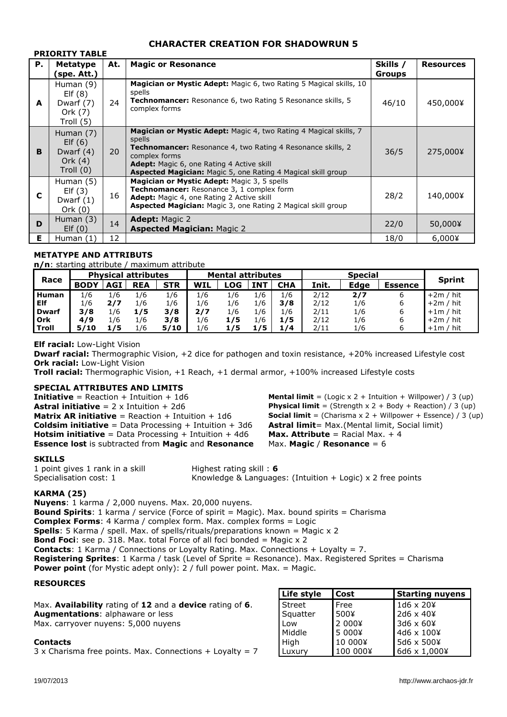# **CHARACTER CREATION FOR SHADOWRUN 5**

|    | FRIURIII IADLE                                                 |     |                                                                                                                                                                                                                                                                                               |                           |                  |
|----|----------------------------------------------------------------|-----|-----------------------------------------------------------------------------------------------------------------------------------------------------------------------------------------------------------------------------------------------------------------------------------------------|---------------------------|------------------|
| Р. | <b>Metatype</b><br>(spe. Att.)                                 | At. | <b>Magic or Resonance</b>                                                                                                                                                                                                                                                                     | Skills /<br><b>Groups</b> | <b>Resources</b> |
| A  | Human (9)<br>EIf(8)<br>Dwarf (7)<br>Ork (7)<br>Troll (5)       | 24  | <b>Magician or Mystic Adept:</b> Magic 6, two Rating 5 Magical skills, 10<br>spells<br><b>Technomancer:</b> Resonance 6, two Rating 5 Resonance skills, 5<br>complex forms                                                                                                                    | 46/10                     | 450,000¥         |
| B  | Human $(7)$<br>EIf(6)<br>Dwarf (4)<br>Ork $(4)$<br>Troll $(0)$ | 20  | <b>Magician or Mystic Adept:</b> Magic 4, two Rating 4 Magical skills, 7<br>spells<br><b>Technomancer:</b> Resonance 4, two Rating 4 Resonance skills, 2<br>complex forms<br>Adept: Magic 6, one Rating 4 Active skill<br><b>Aspected Magician:</b> Magic 5, one Rating 4 Magical skill group | 36/5                      | 275,000¥         |
| C  | Human (5)<br>EIf(3)<br>Dwarf $(1)$<br>Ork $(0)$                | 16  | Magician or Mystic Adept: Magic 3, 5 spells<br>Technomancer: Resonance 3, 1 complex form<br><b>Adept:</b> Magic 4, one Rating 2 Active skill<br><b>Aspected Magician:</b> Magic 3, one Rating 2 Magical skill group                                                                           | 28/2                      | 140,000¥         |
| D  | Human $(3)$<br>EIf(0)                                          | 14  | <b>Adept:</b> Magic 2<br><b>Aspected Magician: Magic 2</b>                                                                                                                                                                                                                                    | 22/0                      | 50,000¥          |
| Е  | Human (1)                                                      | 12  |                                                                                                                                                                                                                                                                                               | 18/0                      | $6,000$ ¥        |

# **METATYPE AND ATTRIBUTS**

**PRIORITY TABLE**

**n/n**: starting attribute / maximum attribute

| Race         | <b>Physical attributes</b> |     |            |            | <b>Mental attributes</b> |     |            | <b>Special</b> |       |      |                |               |
|--------------|----------------------------|-----|------------|------------|--------------------------|-----|------------|----------------|-------|------|----------------|---------------|
|              | <b>BODY</b>                | AGI | <b>REA</b> | <b>STR</b> | <b>WIL</b>               | -OG | <b>INT</b> | <b>CHA</b>     | Init. | Edge | <b>Essence</b> | <b>Sprint</b> |
| <b>Human</b> | 1/6                        | 1/6 | 1/6        | 1/6        | 1/6                      | 1/6 | 1/6        | 1/6            | 2/12  | 2/7  |                | $+2m / hit$   |
| Elf          | 1/6                        | 2/7 | 1/6        | 1/6        | 1/6                      | 1/6 | 1/6        | 3/8            | 2/12  | 1/6  | ь              | $+2m / hit$   |
| <b>Dwarf</b> | 3/8                        | 1/6 | 1/5        | 3/8        | 2/7                      | 1/6 | 1/6        | 1/6            | 2/11  | 1/6  | ь              | $+1m / hit$   |
| Ork          | 4/9                        | 1/6 | 1/6        | 3/8        | 1/6                      | 1/5 | 1/6        | 1/5            | 2/12  | 1/6  |                | $+2m / hit$   |
| Troll        | 5/10                       | 75  | 1/6        | 5/10       | 1/6                      | 1/5 | 1/5        | 1/4            | 2/11  | 1/6  |                | $+1m / hit$   |

**Elf racial:** Low-Light Vision

**Dwarf racial:** Thermographic Vision, +2 dice for pathogen and toxin resistance, +20% increased Lifestyle cost **Ork racial:** Low-Light Vision

**Troll racial:** Thermographic Vision, +1 Reach, +1 dermal armor, +100% increased Lifestyle costs

## **SPECIAL ATTRIBUTES AND LIMITS**

**Initiative** = Reaction + Intuition + 1d6 **Mental limit** = (Logic x 2 + Intuition + Willpower) / 3 (up) **Astral initiative** = 2 x Intuition + 2d6 **Physical limit** = (Strength x 2 + Body + Reaction) / 3 (up) **Matrix AR initiative** = Reaction + Intuition + 1d6 **Social limit** = (Charisma x 2 + Willpower + Essence) / 3 (up) **Coldsim initiative** = Data Processing + Intuition + 3d6 **Astral limit**= Max.(Mental limit, Social limit) **Hotsim initiative** = Data Processing + Intuition + 4d6 **Max. Attribute** = Racial Max. + 4 **Essence lost** is subtracted from **Magic** and **Resonance** Max. **Magic** / **Resonance** = 6

### **SKILLS**

1 point gives 1 rank in a skill Highest rating skill : 6

Specialisation cost: 1 Knowledge & Languages: (Intuition + Logic) x 2 free points

## **KARMA (25)**

**Nuyens**: 1 karma / 2,000 nuyens. Max. 20,000 nuyens. **Bound Spirits**: 1 karma / service (Force of spirit = Magic). Max. bound spirits = Charisma

**Complex Forms**: 4 Karma / complex form. Max. complex forms = Logic

**Spells**: 5 Karma / spell. Max. of spells/rituals/preparations known = Magic x 2

**Bond Foci**: see p. 318. Max. total Force of all foci bonded = Magic x 2

**Contacts**: 1 Karma / Connections or Loyalty Rating. Max. Connections + Loyalty = 7.

**Registering Sprites**: 1 Karma / task (Level of Sprite = Resonance). Max. Registered Sprites = Charisma **Power point** (for Mystic adept only): 2 / full power point. Max. = Magic.

# **RESOURCES**

|                                                                        | Life style | <b>Cost</b> | <b>Starting nuyens</b> |
|------------------------------------------------------------------------|------------|-------------|------------------------|
| Max. <b>Availability</b> rating of 12 and a <b>device</b> rating of 6. | Street     | Free        | $1d6 \times 204$       |
| <b>Augmentations: alphaware or less</b>                                | Squatter   | 500¥        | $2d6 \times 404$       |
| Max. carryover nuyens: 5,000 nuyens                                    | Low        | 2 000¥      | $3d6 \times 604$       |
|                                                                        | Middle     | 5 000¥      | 4d6 x 100¥             |
| Contacts                                                               | High       | 10 000¥     | 5d6 x 500¥             |
| 3 x Charisma free points. Max. Connections $+$ Loyalty = 7             | Luxury     | 100 000¥    | 6d6 x 1,000¥           |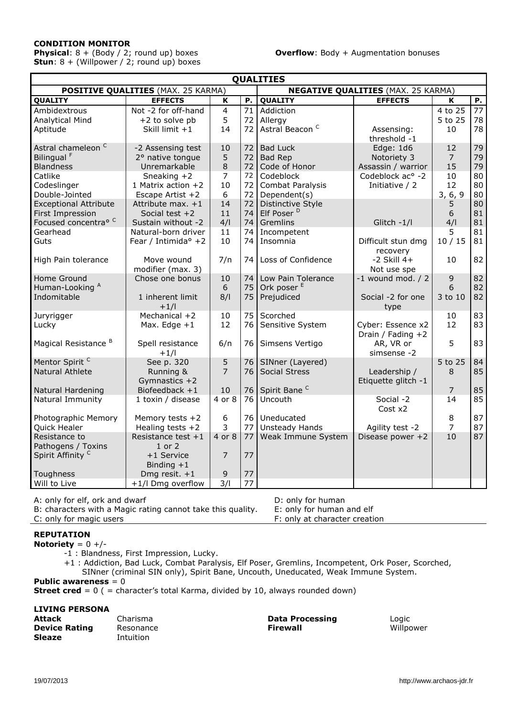# **CONDITION MONITOR**

**Physical**: 8 + (Body / 2; round up) boxes **Overflow**: Body + Augmentation bonuses **Stun**: 8 + (Willpower / 2; round up) boxes

| <b>QUALITIES</b>                                                                                                        |                                                                                                                         |                                                 |                                  |                                                                                                     |                                                                                      |                                                   |                                  |  |  |
|-------------------------------------------------------------------------------------------------------------------------|-------------------------------------------------------------------------------------------------------------------------|-------------------------------------------------|----------------------------------|-----------------------------------------------------------------------------------------------------|--------------------------------------------------------------------------------------|---------------------------------------------------|----------------------------------|--|--|
| <b>POSITIVE QUALITIES (MAX. 25 KARMA)</b><br><b>NEGATIVE QUALITIES (MAX. 25 KARMA)</b>                                  |                                                                                                                         |                                                 |                                  |                                                                                                     |                                                                                      |                                                   |                                  |  |  |
| <b>QUALITY</b>                                                                                                          | <b>EFFECTS</b>                                                                                                          | $\overline{\mathbf{K}}$                         | Ρ.                               | <b>QUALITY</b>                                                                                      | <b>EFFECTS</b>                                                                       | K                                                 | Ρ.                               |  |  |
| Ambidextrous<br><b>Analytical Mind</b><br>Aptitude                                                                      | Not -2 for off-hand<br>+2 to solve pb<br>Skill limit +1                                                                 | $\overline{4}$<br>5<br>14                       | 71<br>72<br>72                   | Addiction<br>Allergy<br>Astral Beacon <sup>C</sup>                                                  | Assensing:<br>threshold -1                                                           | 4 to 25<br>5 to 25<br>10                          | 77<br>78<br>78                   |  |  |
| Astral chameleon <sup>C</sup><br>Bilingual <sup>F</sup><br><b>Blandness</b><br>Catlike<br>Codeslinger<br>Double-Jointed | -2 Assensing test<br>2° native tongue<br>Unremarkable<br>Sneaking $+2$<br>1 Matrix action +2<br>Escape Artist +2        | 10<br>5<br>$\,8\,$<br>$\overline{7}$<br>10<br>6 | 72<br>72<br>72<br>72<br>72<br>72 | <b>Bad Luck</b><br>Bad Rep<br>Code of Honor<br>Codeblock<br><b>Combat Paralysis</b><br>Dependent(s) | Edge: 1d6<br>Notoriety 3<br>Assassin / warrior<br>Codeblock ac° -2<br>Initiative / 2 | 12<br>$\overline{7}$<br>15<br>10<br>12<br>3, 6, 9 | 79<br>79<br>79<br>80<br>80<br>80 |  |  |
| <b>Exceptional Attribute</b><br>First Impression<br>Focused concentra <sup>o C</sup><br>Gearhead<br>Guts                | Attribute max. $+1$<br>Social test $+2$<br>Sustain without -2<br>Natural-born driver<br>Fear / Intimida <sup>o</sup> +2 | 14<br>11<br>4/1<br>11<br>10                     | 72<br>74<br>74<br>74<br>74       | Distinctive Style<br>Elf Poser <sup>D</sup><br>Gremlins<br>Incompetent<br>Insomnia                  | Glitch -1/l<br>Difficult stun dmg                                                    | 5.<br>6<br>4/1<br>5<br>10/15                      | 80<br>81<br>81<br>81<br>81       |  |  |
| High Pain tolerance                                                                                                     | Move wound<br>modifier (max. 3)                                                                                         | 7/n                                             | 74                               | Loss of Confidence                                                                                  | recovery<br>$-2$ Skill $4+$<br>Not use spe                                           | 10                                                | 82                               |  |  |
| Home Ground<br>Human-Looking A<br>Indomitable                                                                           | Chose one bonus<br>1 inherent limit<br>$+1/1$                                                                           | 10<br>6<br>8/1                                  | 74<br>75<br>75                   | Low Pain Tolerance<br>Ork poser <sup>E</sup><br>Prejudiced                                          | $-1$ wound mod. $/2$<br>Social -2 for one<br>type                                    | $\mathsf 9$<br>6<br>3 to 10                       | 82<br>82<br>82                   |  |  |
| Juryrigger<br>Lucky                                                                                                     | Mechanical +2<br>Max. Edge $+1$                                                                                         | 10<br>12                                        | 75<br>76                         | Scorched<br>Sensitive System                                                                        | Cyber: Essence x2<br>Drain / Fading +2                                               | 10<br>12                                          | 83<br>83                         |  |  |
| Magical Resistance <sup>B</sup>                                                                                         | Spell resistance<br>$+1/1$                                                                                              | 6/n                                             | 76                               | Simsens Vertigo                                                                                     | AR, VR or<br>simsense -2                                                             | 5                                                 | 83                               |  |  |
| Mentor Spirit <sup>C</sup><br><b>Natural Athlete</b>                                                                    | See p. 320<br>Running &<br>Gymnastics $+2$                                                                              | 5<br>$\overline{7}$                             | 76<br>76                         | SINner (Layered)<br><b>Social Stress</b>                                                            | Leadership /<br>Etiquette glitch -1                                                  | 5 to 25<br>8                                      | 84<br>85                         |  |  |
| Natural Hardening<br>Natural Immunity                                                                                   | Biofeedback +1<br>1 toxin / disease                                                                                     | 10<br>4 or 8                                    | 76<br>76                         | Spirit Bane <sup>C</sup><br>Uncouth                                                                 | Social -2                                                                            | $\overline{7}$<br>14                              | 85<br>85                         |  |  |
| Photographic Memory<br>Quick Healer                                                                                     | Memory tests +2<br>Healing tests $+2$                                                                                   | 6<br>3                                          | 76<br>77                         | Uneducated<br>Unsteady Hands                                                                        | Cost x2<br>Agility test -2                                                           | 8<br>$\overline{7}$                               | 87<br>87                         |  |  |
| Resistance to<br>Pathogens / Toxins<br>Spirit Affinity <sup>C</sup><br>Toughness                                        | Resistance test $+1$<br>$1$ or $2$<br>+1 Service<br>Binding $+1$<br>Dmg resit. $+1$                                     | 4 or 8<br>$\overline{7}$<br>9                   | 77<br>77<br>77                   | Weak Immune System                                                                                  | Disease power +2                                                                     | 10                                                | 87                               |  |  |
| Will to Live                                                                                                            | +1/l Dmg overflow                                                                                                       | 3/1                                             | 77                               |                                                                                                     |                                                                                      |                                                   |                                  |  |  |

A: only for elf, ork and dwarf<br>B: characters with a Magic rating cannot take this quality. E: only for human and elf

B: characters with a Magic rating cannot take this quality.

C: only for magic users F: only at character creation

# **REPUTATION**

**Notoriety** =  $0 +/-$ 

-1 : Blandness, First Impression, Lucky.

+1 : Addiction, Bad Luck, Combat Paralysis, Elf Poser, Gremlins, Incompetent, Ork Poser, Scorched, SINner (criminal SIN only), Spirit Bane, Uncouth, Uneducated, Weak Immune System.

# **Public awareness** = 0

**Street cred** = 0 ( = character's total Karma, divided by 10, always rounded down)

# **LIVING PERSONA**

| Attack               | Charisma  | <b>Data Processing</b> | Logic     |
|----------------------|-----------|------------------------|-----------|
| <b>Device Rating</b> | Resonance | <b>Firewall</b>        | Willpower |
| Sleaze               | Intuition |                        |           |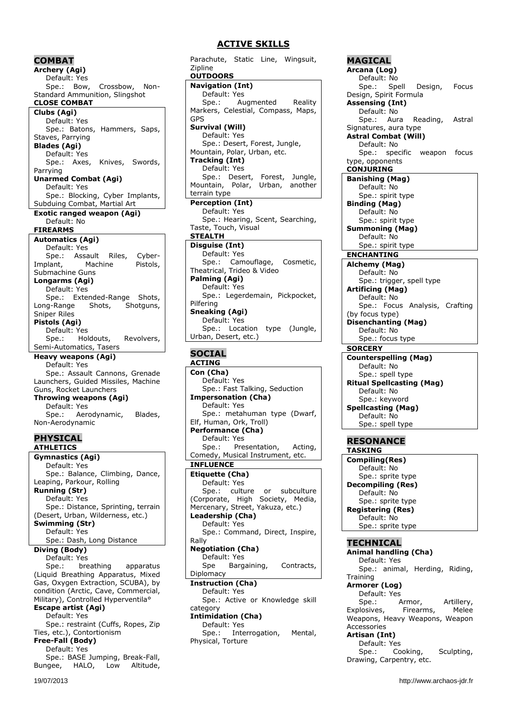# **COMBAT**

**Archery (Agi)** Default: Yes Spe.: Bow, Crossbow, Non-Standard Ammunition, Slingshot **CLOSE COMBAT Clubs (Agi)** Default: Yes Spe.: Batons, Hammers, Saps, Staves, Parrying **Blades (Agi)** Default: Yes Spe.: Axes, Knives, Swords, Parrying **Unarmed Combat (Agi)** Default: Yes Spe.: Blocking, Cyber Implants, Subduing Combat, Martial Art **Exotic ranged weapon (Agi)** Default: No **FIREARMS Automatics (Agi)** Default: Yes Spe.: Assault Riles, Cyber-Implant, Machine Pistols, Submachine Guns **Longarms (Agi)** Default: Yes Spe.: Extended-Range Shots, Long-Range Shots, Shotguns, Sniper Riles **Pistols (Agi)** Default: Yes Spe.: Holdouts, Revolvers, Semi-Automatics, Tasers **Heavy weapons (Agi)** Default: Yes Spe.: Assault Cannons, Grenade Launchers, Guided Missiles, Machine Guns, Rocket Launchers **Throwing weapons (Agi)** Default: Yes Spe.: Aerodynamic, Blades, Non-Aerodynamic **PHYSICAL ATHLETICS Gymnastics (Agi)** Default: Yes Spe.: Balance, Climbing, Dance, Leaping, Parkour, Rolling **Running (Str)** Default: Yes Spe.: Distance, Sprinting, terrain

(Desert, Urban, Wilderness, etc.) **Swimming (Str)** Default: Yes Spe.: Dash, Long Distance

**Diving (Body)** Default: Yes

Spe.: breathing apparatus (Liquid Breathing Apparatus, Mixed Gas, Oxygen Extraction, SCUBA), by condition (Arctic, Cave, Commercial, Military), Controlled Hyperventila<sup>o</sup> **Escape artist (Agi)** Default: Yes Spe.: restraint (Cuffs, Ropes, Zip Ties, etc.), Contortionism **Free-Fall (Body)** Default: Yes

Spe.: BASE Jumping, Break-Fall,<br>ngee, HALO, Low Altitude, Bungee, HALO, Low

Parachute, Static Line, Wingsuit, Zipline **OUTDOORS Navigation (Int)** Default: Yes Spe.: Augmented Reality Markers, Celestial, Compass, Maps, GPS **Survival (Will)** Default: Yes Spe.: Desert, Forest, Jungle, Mountain, Polar, Urban, etc. **Tracking (Int)** Default: Yes Spe.: Desert, Forest, Jungle, Mountain, Polar, Urban, another terrain type **Perception (Int)** Default: Yes Spe.: Hearing, Scent, Searching, Taste, Touch, Visual **STEALTH Disguise (Int)** Default: Yes Spe.: Camouflage, Cosmetic, Theatrical, Trideo & Video **Palming (Agi)** Default: Yes Spe.: Legerdemain, Pickpocket, Pilfering **Sneaking (Agi)** Default: Yes Spe.: Location type (Jungle, Urban, Desert, etc.) **SOCIAL ACTING Con (Cha)** Default: Yes Spe.: Fast Talking, Seduction **Impersonation (Cha)** Default: Yes Spe.: metahuman type (Dwarf, Elf, Human, Ork, Troll) **Performance (Cha)** Default: Yes Spe.: Presentation, Acting, Comedy, Musical Instrument, etc. **INFLUENCE Etiquette (Cha)** Default: Yes Spe.: culture or subculture (Corporate, High Society, Media, Mercenary, Street, Yakuza, etc.) **Leadership (Cha)** Default: Yes Spe.: Command, Direct, Inspire, Rally **Negotiation (Cha)** Default: Yes Spe Bargaining, Contracts, Diplomacy **Instruction (Cha)** Default: Yes Spe.: Active or Knowledge skill category **Intimidation (Cha)** Default: Yes Spe.: Interrogation, Mental, Physical, Torture

**MAGICAL Arcana (Log)** Default: No Spe.: Spell Design, Focus Design, Spirit Formula **Assensing (Int)** Default: No Spe.: Aura Reading, Astral Signatures, aura type **Astral Combat (Will)** Default: No Spe.: specific weapon focus type, opponents **CONJURING Banishing (Mag)** Default: No Spe.: spirit type **Binding (Mag)** Default: No Spe.: spirit type **Summoning (Mag)** Default: No Spe.: spirit type **ENCHANTING Alchemy (Mag)** Default: No Spe.: trigger, spell type **Artificing (Mag)** Default: No Spe.: Focus Analysis, Crafting (by focus type) **Disenchanting (Mag)** Default: No Spe.: focus type **SORCERY Counterspelling (Mag)** Default: No Spe.: spell type **Ritual Spellcasting (Mag)** Default: No Spe.: keyword **Spellcasting (Mag)** Default: No Spe.: spell type **RESONANCE TASKING Compiling(Res)** Default: No Spe.: sprite type **Decompiling (Res)** Default: No Spe.: sprite type **Registering (Res)** Default: No Spe.: sprite type **TECHNICAL Animal handling (Cha)** Default: Yes Spe.: animal, Herding, Riding, **Training Armorer (Log)** Default: Yes

Spe.: Armor, Artillery, Explosives, Firearms, Melee Weapons, Heavy Weapons, Weapon Accessories

## **Artisan (Int)**

Default: Yes Spe.: Cooking, Sculpting, Drawing, Carpentry, etc.